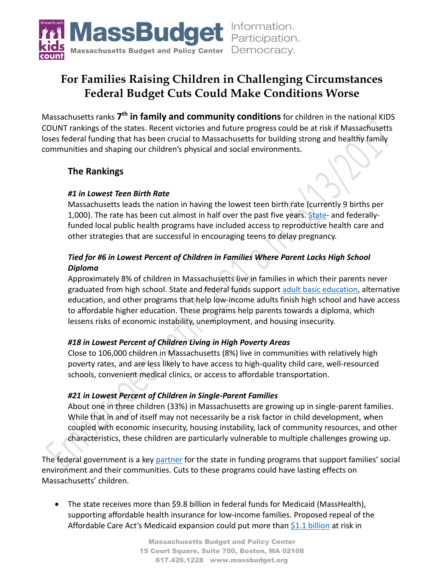

# **For Families Raising Children in Challenging Circumstances Federal Budget Cuts Could Make Conditions Worse**

Massachusetts ranks **7 th in family and community conditions** for children in the national KIDS COUNT rankings of the states. Recent victories and future progress could be at risk if Massachusetts loses federal funding that has been crucial to Massachusetts for building strong and healthy family communities and shaping our children's physical and social environments.

## **The Rankings**

### *#1 in Lowest Teen Birth Rate*

Massachusetts leads the nation in having the lowest teen birth rate (currently 9 births per 1,000). The rate has been cut almost in half over the past five years. [State-](http://children.massbudget.org/teenage-pregnancy-prevention-program) and federallyfunded local public health programs have included access to reproductive health care and other strategies that are successful in encouraging teens to delay pregnancy.

## *Tied for #6 in Lowest Percent of Children in Families Where Parent Lacks High School Diploma*

Approximately 8% of children in Massachusetts live in families in which their parents never graduated from high school. State and federal funds support [adult basic education,](http://workforce.massbudget.org/adult-basic-education) alternative education, and other programs that help low-income adults finish high school and have access to affordable higher education. These programs help parents towards a diploma, which lessens risks of economic instability, unemployment, and housing insecurity.

#### *#18 in Lowest Percent of Children Living in High Poverty Areas*

Close to 106,000 children in Massachusetts (8%) live in communities with relatively high poverty rates, and are less likely to have access to high-quality child care, well-resourced schools, convenient medical clinics, or access to affordable transportation.

#### *#21 in Lowest Percent of Children in Single-Parent Families*

About one in three children (33%) in Massachusetts are growing up in single-parent families. While that in and of itself may not necessarily be a risk factor in child development, when coupled with economic insecurity, housing instability, lack of community resources, and other characteristics, these children are particularly vulnerable to multiple challenges growing up.

The federal government is a key [partner](http://massbudget.org/report_window.php?loc=Partnership-in-Peril-Federal-Funding-at-Risk.html) for the state in funding programs that support families' social environment and their communities. Cuts to these programs could have lasting effects on Massachusetts' children.

• The state receives more than \$9.8 billion in federal funds for Medicaid (MassHealth), supporting affordable health insurance for low-income families. Proposed repeal of the Affordable Care Act's Medicaid expansion could put more than \$1.1 [billion](http://www.cbpp.org/research/health/house-republican-health-bill-would-effectively-end-aca-medicaid-expansion) at risk in

> Massachusetts Budget and Policy Center 15 Court Square, Suite 700, Boston, MA 02108 617.426.1228 www.massbudget.org